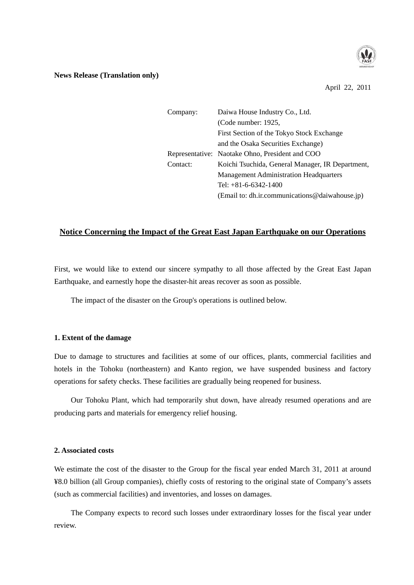

### **News Release (Translation only)**

April 22, 2011

| Company: | Daiwa House Industry Co., Ltd.                   |
|----------|--------------------------------------------------|
|          | (Code number: 1925,                              |
|          | First Section of the Tokyo Stock Exchange        |
|          | and the Osaka Securities Exchange)               |
|          | Representative: Naotake Ohno, President and COO  |
| Contact: | Koichi Tsuchida, General Manager, IR Department, |
|          | <b>Management Administration Headquarters</b>    |
|          | Tel: $+81-6-6342-1400$                           |
|          | (Email to: dh.ir.communications@daiwahouse.jp)   |

# **Notice Concerning the Impact of the Great East Japan Earthquake on our Operations**

First, we would like to extend our sincere sympathy to all those affected by the Great East Japan Earthquake, and earnestly hope the disaster-hit areas recover as soon as possible.

The impact of the disaster on the Group's operations is outlined below.

### **1. Extent of the damage**

Due to damage to structures and facilities at some of our offices, plants, commercial facilities and hotels in the Tohoku (northeastern) and Kanto region, we have suspended business and factory operations for safety checks. These facilities are gradually being reopened for business.

 Our Tohoku Plant, which had temporarily shut down, have already resumed operations and are producing parts and materials for emergency relief housing.

#### **2. Associated costs**

We estimate the cost of the disaster to the Group for the fiscal year ended March 31, 2011 at around ¥8.0 billion (all Group companies), chiefly costs of restoring to the original state of Company's assets (such as commercial facilities) and inventories, and losses on damages.

 The Company expects to record such losses under extraordinary losses for the fiscal year under review.